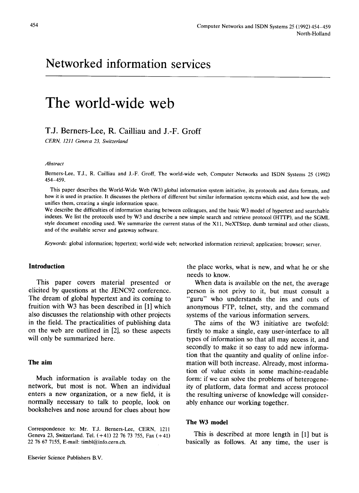# **The world-wide web**

# **T.J. Berners-Lee, R. Cailliau and J.-F. Groff**

*CERN, 1211 Geneva 23, Switzerland* 

#### *Abstract*

Berners-Lee, T.J., R. Cailliau and J.-F. Groff, The world-wide web, Computer Networks and ISDN Systems 25 (1992) 454-459.

This paper describes the World-Wide Web (W3) global information system initiative, its protocols and data formats, and how it is used in practice. It discusses the plethora of different but similar information systems which exist, and how the web unifies them, creating a single information space.

We describe the difficulties of information sharing between colleagues, and the basic W3 model of hypertext and searchable indexes. We list the protocols used by W3 and describe a new simple search and retrieve protocol (HTFP), and the SGML style document encoding used. We summarize the current status of the X11, NeXTStep, dumb terminal and other clients, and of the available server and gateway software.

*Keywords:* global information; hypertext; world-wide web; networked information retrieval; application; browser; server.

# **Introduction**

This paper covers material presented or elicited by questions at the JENC92 conference. The dream of global hypertext and its coming to fruition with W3 has been described in [1] which also discusses the relationship with other projects in the field. The practicalities of publishing data on the web are outlined in [2], so these aspects will only be summarized here.

## **The aim**

Much information is available today on the network, but most is not. When an individual enters a new organization, or a new field, it is normally necessary to talk to people, look on bookshelves and nose around for clues about how

the place works, what is new, and what he or she needs to know.

When data is available on the net, the average person is not privy to it, but must consult a "guru" who understands the ins and outs of anonymous FTP, telnet, stty, and the command systems of the various information servers.

The aims of the W3 initiative are twofold: firstly to make a single, easy user-interface to all types of information so that all may access it, and secondly to make it so easy to add new information that the quantity and quality of online information will both increase. Already, most information of value exists in some machine-readable form: if we can solve the problems of heterogeneity of platform, data format and access protocol the resulting universe of knowledge will considerably enhance our working together.

#### **The W3 model**

This is described at more length in [1] but is basically as follows. At any time, the user is

Correspondence to: Mr. T.J. Berners-Lee, CERN, 1211 Geneva 23, Switzerland. Tel. (+41) 22 76 73 755, Fax (+41) 22 76 67 7155, E-mail: timbl@info.cern.ch.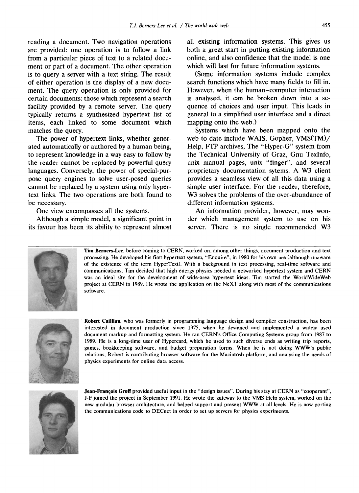reading a document. Two navigation operations are provided: one operation is to follow a link from a particular piece of text to a related document or part of a document. The other operation is to query a server with a text string. The result of either operation is the display of a new document. The query operation is only provided for certain documents: those which represent a search facility provided by a remote server. The query typically returns a synthesized hypertext list of items, each linked to some document which matches the query.

The power of hypertext links, whether generated automatically or authored by a human being, to represent knowledge in a way easy to follow by the reader cannot be replaced by powerful query languages. Conversely, the power of special-purpose query engines to solve user-posed queries cannot be replaced by a system using only hypertext links. The two operations are both found to be necessary.

One view encompasses all the systems.

Although a simple model, a significant point in its favour has been its ability to represent almost all existing information systems. This gives us both a great start in putting existing information online, and also confidence that the model is one which will last for future information systems.

(Some information systems include complex search functions which have many fields to fill in. However, when the human-computer interaction is analysed, it can be broken down into a sequence of choices and user input. This leads in general to a simplified user interface and a direct mapping onto the web.)

Systems which have been mapped onto the web to date include WAIS, Gopher, VMS(TM)/ Help, FTP archives, The "Hyper-G" system from the Technical University of Graz, Gnu Texlnfo, unix manual pages, unix "finger", and several proprietary documentation sytems. A W3 client provides a seamless view of all this data using a simple user interface. For the reader, therefore, W<sub>3</sub> solves the problems of the over-abundance of different information systems.

An information provider, however, may wonder which management system to use on his server. There is no single recommended W3



Tim Berners-Lee, before coming to CERN, worked on, among other things, document production and text processing. He developed his first hypertext system, "Enquire", in 1980 for his own use (although unaware of the existence of the term HyperText). With a background in text processing, real-time software and communications, Tim decided that high energy physics needed a networked hypertext system and CERN was an ideal site for the development of wide-area hypertext ideas. Tim started the WorldWideWeb project at CERN in 1989. He wrote the application on the NeXT along with most of the communications software.



**Robert** Cailliau, who was formerly in programming language design and compiler construction, has been interested in document production since 1975, when he designed and implemented a widely used document markup and formatting system. He ran CERN's Office Computing Systems group from 1987 to 1989. He is a long-time user of Hypercard, which he used to such diverse ends as writing trip reports, games, bookkeeping software, and budget preparation forms. When he is not doing WWW's public relations, Robert is contributing browser software for the Macintosh platform, and analysing the needs of physics experiments for online data access.



**Jean-Francois Groff** provided useful input in the "design issues". During his stay at CERN as "cooperant", J-F joined the project in September 1991. He wrote the gateway to the VMS Help system, worked on the new modular browser architecture, and helped support and present WWW at all levels. He is now porting the communications code to DECnet in order to set up servers for physics experiments.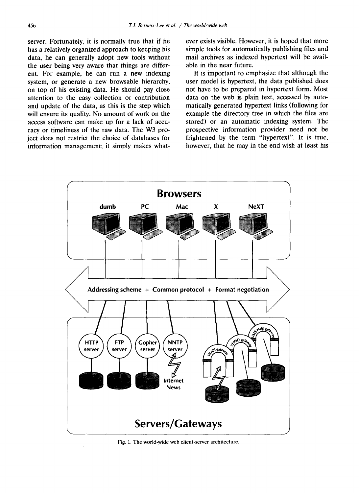server. Fortunately, it is normally true that if he has a relatively organized approach to keeping his data, he can generally adopt new tools without the user being very aware that things are different. For example, he can run a new indexing system, or generate a new browsable hierarchy, on top of his existing data. He should pay close attention to the easy collection or contribution and update of the data, as this is the step which will ensure its quality. No amount of work on the access software can make up for a lack of accuracy or timeliness of the raw data. The W3 project does not restrict the choice of databases for information management; it simply makes whatever exists visible. However, it is hoped that more simple tools for automatically publishing files and mail archives as indexed hypertext will be available in the near future.

It is important to emphasize that although the user model is hypertext, the data published does not have to be prepared in hypertext form. Most data on the web is plain text, accessed by automatically generated hypertext links (following for example the directory tree in which the files are stored) or an automatic indexing system. The prospective information provider need not be frightened by the term "hypertext". It is true, however, that he may in the end wish at least his



Fig. 1. The world-wide web client-server architecture.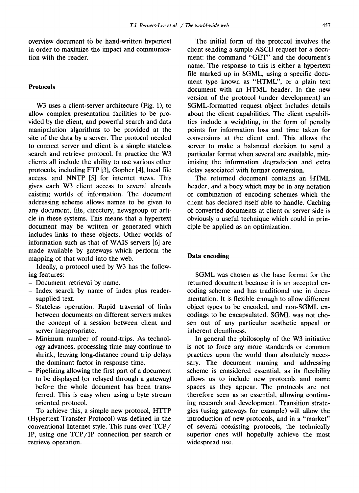overview document to be hand-written hypertext in order to maximize the impact and communication with the reader.

### **Protocols**

W<sub>3</sub> uses a client-server architecure (Fig. 1), to allow complex presentation facilities to be provided by the client, and powerful search and data manipulation algorithms to be provided at the site of the data by a server. The protocol needed to connect server and client is a simple stateless search and retrieve protocol. In practice the W3 clients all include the ability to use various other protocols, including FTP [3], Gopher [4], local file access, and NNTP [5] for internet news. This gives each W3 client access to several already existing worlds of information. The document addressing scheme allows names to be given to any document, file, directory, newsgroup or article in these systems. This means that a hypertext document may be written or generated which includes links to these objects. Other worlds of information such as that of WAIS servers [6] are made available by gateways which perform the mapping of that world into the web.

Ideally, a protocol used by W3 has the following features:

- Document retrieval by name.
- Index search by name of index plus readersupplied text.
- Stateless operation. Rapid traversal of links between documents on different servers makes the concept of a session between client and server inappropriate.
- Minimum number of round-trips. As technology advances, processing time may continue to • shrink, leaving long-distance round trip delays the dominant factor in response time.
- Pipelining allowing the first part of a document to be displayed (or relayed through a gateway) before the whole document has been transferred. This is easy when using a byte stream oriented protocol.

To achieve this, a simple new protocol, HTTP (Hypertext Transfer Protocol) was defined in the conventional Internet style. This runs over TCP/ IP, using one TCP/IP connection per search or retrieve operation.

The initial form of the protocol involves the client sending a simple ASCII request for a document: the command "GET" and the document's name. The response to this is either a hypertext file marked up in SGML, using a specific document type known as "HTML", or a plain text document with an HTML header. In the new version of the protocol (under development) an SGML-formatted request object includes details about the client capabilities. The client capabilities include a weighting, in the form of penalty points for information loss and time taken for conversions at the client end. This allows the server to make a balanced decision to send a particular format when several are available, minimising the information degradation and extra delay associated with format conversion.

The returned document contains an HTML header, and a body which may be in any notation or combination of encoding schemes which the client has declared itself able to handle. Caching of converted documents at client or server side is obviously a useful technique which could in principle be applied as an optimization.

#### **Data encoding**

SGML was chosen as the base format for the returned document because it is an accepted encoding scheme and has traditional use in documentation. It is flexible enough to allow different object types to be encoded, and non-SGML encodings to be encapsulated. SGML was not chosen out of any particular aesthetic appeal or inherent cleanliness.

In general the philosophy of the W3 initiative is not to force any more standards or common practices upon the world than absolutely necessary. The document naming and addressing scheme is considered essential, as its flexibility allows us to include new protocols and name spaces as they appear. The protocols are not therefore seen as so essential, allowing continuing research and development. Transition strategies (using gateways for example) will allow the introduction of new protocols, and in a "market" of several coexisting protocols, the technically superior ones will hopefully achieve the most widespread use.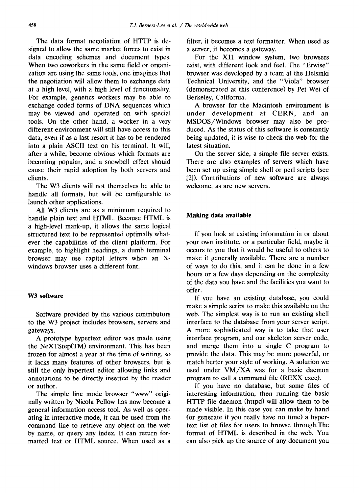The data format negotiation of HTTP is designed to allow the same market forces to exist in data encoding schemes and document types. When two coworkers in the same field or organization are using the same tools, one imagines that the negotiation will allow them to exchange data at a high level, with a high level of functionality. For example, genetics workers may be able to exchange coded forms of DNA sequences which may be viewed and operated on with special tools. On the other hand, a worker in a very different environment will still have access to this data, even if as a last resort it has to be rendered into a plain ASCII text on his terminal. It will, after a while, become obvious which formats are becoming popular, and a snowball effect should cause their rapid adoption by both servers and clients.

The W3 clients will not themselves be able to handle all formats, but will be configurable to launch other applications.

All W3 clients are as a minimum required to handle plain text and HTML. Because HTML is a high-level mark-up, it allows the same logical structured text to be represented optimally whatever the capabilities of the client platform. For example, to highlight headings, a dumb terminal browser may use capital letters when an Xwindows browser uses a different font.

#### **W3 software**

Software provided by the various contributors to the W3 project includes browsers, servers and gateways.

A prototype hypertext editor was made using the NeXTStep(TM) environment. This has been frozen for almost a year at the time of writing, so it lacks many features of other browsers, but is still the only hypertext editor allowing links and annotations to be directly inserted by the reader or author.

The simple line mode browser "www" originally written by Nicola Pellow has now become a general information access tool. As well as operating in interactive mode, it can be used from the command line to retrieve any object on the web by name, or query any index. It can return formatted text or HTML source. When used as a filter, it becomes a text formatter. When used as a server, it becomes a gateway.

For the Xll window system, two browsers exist, with different look and feel. The "Erwise" browser was developed by a team at the Helsinki Technical University, and the "Viola" browser (demonstrated at this conference) by Pei Wei of Berkeley, California.

A browser for the Macintosh environment is under development at CERN, and an MSDOS/Windows browser may also be produced. As the status of this software is constantly being updated, it is wise to check the web for the latest situation.

On the server side, a simple file server exists. There are also examples of servers which have been set up using simple shell or perl scripts (see [2]). Contributions of new software are always welcome, as are new servers.

#### **Making data available**

If you look at existing information in or about your own institute, or a particular field, maybe it occurs to you that it would be useful to others to make it generally available. There are a number of ways to do this, and it can be done in a few hours or a few days depending on the complexity of the data you have and the facilities you want to offer.

If you have an existing database, you could make a simple script to make this available on the web. The simplest way is to run an existing shell interface to the database from your server script. A more sophisticated way is to take that user interface program, and our skeleton server code, and merge them into a single C program to provide the data. This may be more powerful, or match better your style of working. A solution we used under VM/XA was for a basic daemon program to call a command file (REXX exec).

If you have no database, but some files of interesting information, then running the basic HTI'P file daemon (httpd) will allow them to be made visible. In this case you can make by hand (or generate if you really have no time) a hypertext list of files for users to browse through.The format of HTML is described in the web. You can also pick up the source of any document you